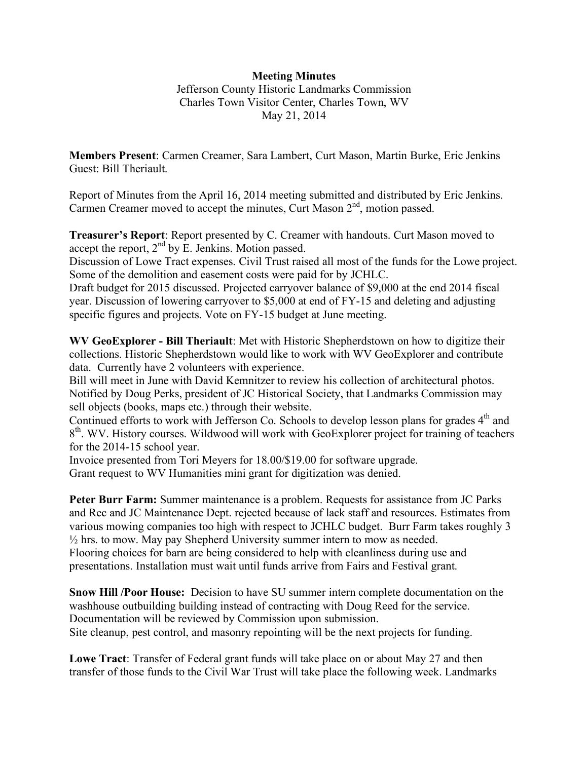## **Meeting Minutes**

Jefferson County Historic Landmarks Commission Charles Town Visitor Center, Charles Town, WV May 21, 2014

**Members Present**: Carmen Creamer, Sara Lambert, Curt Mason, Martin Burke, Eric Jenkins Guest: Bill Theriault.

Report of Minutes from the April 16, 2014 meeting submitted and distributed by Eric Jenkins. Carmen Creamer moved to accept the minutes, Curt Mason  $2<sup>nd</sup>$ , motion passed.

**Treasurer's Report**: Report presented by C. Creamer with handouts. Curt Mason moved to accept the report,  $2<sup>nd</sup>$  by E. Jenkins. Motion passed.

Discussion of Lowe Tract expenses. Civil Trust raised all most of the funds for the Lowe project. Some of the demolition and easement costs were paid for by JCHLC.

Draft budget for 2015 discussed. Projected carryover balance of \$9,000 at the end 2014 fiscal year. Discussion of lowering carryover to \$5,000 at end of FY-15 and deleting and adjusting specific figures and projects. Vote on FY-15 budget at June meeting.

**WV GeoExplorer - Bill Theriault**: Met with Historic Shepherdstown on how to digitize their collections. Historic Shepherdstown would like to work with WV GeoExplorer and contribute data. Currently have 2 volunteers with experience.

Bill will meet in June with David Kemnitzer to review his collection of architectural photos. Notified by Doug Perks, president of JC Historical Society, that Landmarks Commission may sell objects (books, maps etc.) through their website.

Continued efforts to work with Jefferson Co. Schools to develop lesson plans for grades 4<sup>th</sup> and  $8<sup>th</sup>$ . WV. History courses. Wildwood will work with GeoExplorer project for training of teachers for the 2014-15 school year.

Invoice presented from Tori Meyers for 18.00/\$19.00 for software upgrade. Grant request to WV Humanities mini grant for digitization was denied.

**Peter Burr Farm:** Summer maintenance is a problem. Requests for assistance from JC Parks and Rec and JC Maintenance Dept. rejected because of lack staff and resources. Estimates from various mowing companies too high with respect to JCHLC budget. Burr Farm takes roughly 3  $\frac{1}{2}$  hrs. to mow. May pay Shepherd University summer intern to mow as needed. Flooring choices for barn are being considered to help with cleanliness during use and presentations. Installation must wait until funds arrive from Fairs and Festival grant.

**Snow Hill /Poor House:** Decision to have SU summer intern complete documentation on the washhouse outbuilding building instead of contracting with Doug Reed for the service. Documentation will be reviewed by Commission upon submission. Site cleanup, pest control, and masonry repointing will be the next projects for funding.

**Lowe Tract**: Transfer of Federal grant funds will take place on or about May 27 and then transfer of those funds to the Civil War Trust will take place the following week. Landmarks